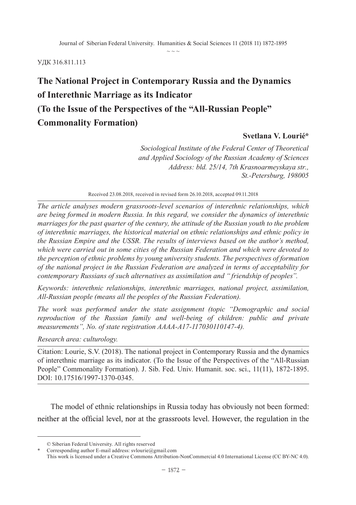$\sim$   $\sim$   $\sim$ 

#### УДК 316.811.113

# **The National Project in Contemporary Russia and the Dynamics of Interethnic Marriage as its Indicator (To the Issue of the Perspectives of the "All-Russian People" Commonality Formation)**

#### **Svetlana V. Lourié\***

*and Applied Sociology of the Russian Academy of Sciences Address: bld. 25/14, 7th Krasnoarmeyskaya str., Sociological Institute of the Federal Center of Theoretical St.-Petersburg, 198005*

Received 23.08.2018, received in revised form 26.10.2018, accepted 09.11.2018

*The article analyses modern grassroots-level scenarios of interethnic relationships, which are being formed in modern Russia. In this regard, we consider the dynamics of interethnic marriages for the past quarter of the century, the attitude of the Russian youth to the problem of interethnic marriages, the historical material on ethnic relationships and ethnic policy in the Russian Empire and the USSR. The results of interviews based on the author's method, which were carried out in some cities of the Russian Federation and which were devoted to the perception of ethnic problems by young university students. The perspectives of formation of the national project in the Russian Federation are analyzed in terms of acceptability for contemporary Russians of such alternatives as assimilation and " friendship of peoples".*

*Keywords: interethnic relationships, interethnic marriages, national project, assimilation, All-Russian people (means all the peoples of the Russian Federation).*

*The work was performed under the state assignment (topic "Demographic and social reproduction of the Russian family and well-being of children: public and private measurements", No. of state registration AAAA-A17-117030110147-4).*

*Research area: culturology.*

Citation: Lourie, S.V. (2018). The national project in Contemporary Russia and the dynamics of interethnic marriage as its indicator. (To the Issue of the Perspectives of the "All-Russian People" Commonality Formation). J. Sib. Fed. Univ. Humanit. soc. sci., 11(11), 1872-1895. DOI: 10.17516/1997-1370-0345.

The model of ethnic relationships in Russia today has obviously not been formed: neither at the official level, nor at the grassroots level. However, the regulation in the

<sup>©</sup> Siberian Federal University. All rights reserved

Corresponding author E-mail address: svlourie@gmail.com

This work is licensed under a Creative Commons Attribution-NonCommercial 4.0 International License (CC BY-NC 4.0).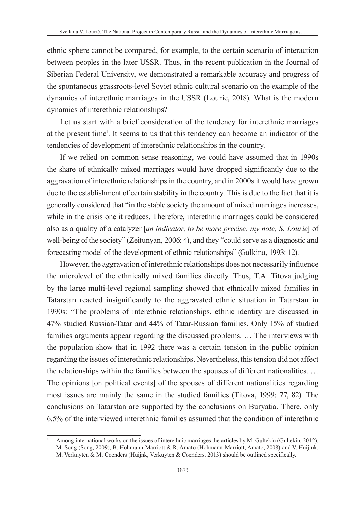ethnic sphere cannot be compared, for example, to the certain scenario of interaction between peoples in the later USSR. Thus, in the recent publication in the Journal of Siberian Federal University, we demonstrated a remarkable accuracy and progress of the spontaneous grassroots-level Soviet ethnic cultural scenario on the example of the dynamics of interethnic marriages in the USSR (Lourie, 2018). What is the modern dynamics of interethnic relationships?

Let us start with a brief consideration of the tendency for interethnic marriages at the present time<sup>1</sup>. It seems to us that this tendency can become an indicator of the tendencies of development of interethnic relationships in the country.

If we relied on common sense reasoning, we could have assumed that in 1990s the share of ethnically mixed marriages would have dropped significantly due to the aggravation of interethnic relationships in the country, and in 2000s it would have grown due to the establishment of certain stability in the country. This is due to the fact that it is generally considered that "in the stable society the amount of mixed marriages increases, while in the crisis one it reduces. Therefore, interethnic marriages could be considered also as a quality of a catalyzer [*an indicator, to be more precise: my note, S. Lourie*] of well-being of the society" (Zeitunyan, 2006: 4), and they "could serve as a diagnostic and forecasting model of the development of ethnic relationships" (Galkina, 1993: 12).

However, the aggravation of interethnic relationships does not necessarily influence the microlevel of the ethnically mixed families directly. Thus, T.A. Titova judging by the large multi-level regional sampling showed that ethnically mixed families in Tatarstan reacted insignificantly to the aggravated ethnic situation in Tatarstan in 1990s: "The problems of interethnic relationships, ethnic identity are discussed in 47% studied Russian-Tatar and 44% of Tatar-Russian families. Only 15% of studied families arguments appear regarding the discussed problems. … The interviews with the population show that in 1992 there was a certain tension in the public opinion regarding the issues of interethnic relationships. Nevertheless, this tension did not affect the relationships within the families between the spouses of different nationalities. … The opinions [on political events] of the spouses of different nationalities regarding most issues are mainly the same in the studied families (Titova, 1999: 77, 82). The conclusions on Tatarstan are supported by the conclusions on Buryatia. There, only 6.5% of the interviewed interethnic families assumed that the condition of interethnic

Among international works on the issues of interethnic marriages the articles by M. Gultekin (Gultekin, 2012), M. Song (Song, 2009), B. Hohmann-Marriott & R. Amato (Hohmann-Marriott, Amato, 2008) and V. Huijink, M. Verkuyten & M. Coenders (Huijnk, Verkuyten & Coenders, 2013) should be outlined specifically.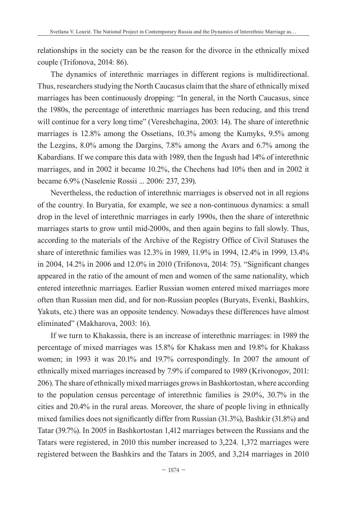relationships in the society can be the reason for the divorce in the ethnically mixed couple (Trifonova, 2014: 86).

The dynamics of interethnic marriages in different regions is multidirectional. Thus, researchers studying the North Caucasus claim that the share of ethnically mixed marriages has been continuously dropping: "In general, in the North Caucasus, since the 1980s, the percentage of interethnic marriages has been reducing, and this trend will continue for a very long time" (Vereshchagina, 2003: 14). The share of interethnic marriages is 12.8% among the Ossetians, 10.3% among the Kumyks, 9.5% among the Lezgins, 8.0% among the Dargins, 7.8% among the Avars and 6.7% among the Kabardians. If we compare this data with 1989, then the Ingush had 14% of interethnic marriages, and in 2002 it became 10.2%, the Chechens had 10% then and in 2002 it became 6.9% (Naselenie Rossii ... 2006: 237, 239).

Nevertheless, the reduction of interethnic marriages is observed not in all regions of the country. In Buryatia, for example, we see a non-continuous dynamics: a small drop in the level of interethnic marriages in early 1990s, then the share of interethnic marriages starts to grow until mid-2000s, and then again begins to fall slowly. Thus, according to the materials of the Archive of the Registry Office of Civil Statuses the share of interethnic families was 12.3% in 1989, 11.9% in 1994, 12.4% in 1999, 13.4% in 2004, 14.2% in 2006 and 12.0% in 2010 (Trifonova, 2014: 75). "Significant changes appeared in the ratio of the amount of men and women of the same nationality, which entered interethnic marriages. Earlier Russian women entered mixed marriages more often than Russian men did, and for non-Russian peoples (Buryats, Evenki, Bashkirs, Yakuts, etc.) there was an opposite tendency. Nowadays these differences have almost eliminated" (Makharova, 2003: 16).

If we turn to Khakassia, there is an increase of interethnic marriages: in 1989 the percentage of mixed marriages was 15.8% for Khakass men and 19.8% for Khakass women; in 1993 it was 20.1% and 19.7% correspondingly. In 2007 the amount of ethnically mixed marriages increased by 7.9% if compared to 1989 (Krivonogov, 2011: 206). The share of ethnically mixed marriages grows in Bashkortostan, where according to the population census percentage of interethnic families is 29.0%, 30.7% in the cities and 20.4% in the rural areas. Moreover, the share of people living in ethnically mixed families does not significantly differ from Russian (31.3%), Bashkir (31.8%) and Tatar (39.7%). In 2005 in Bashkortostan 1,412 marriages between the Russians and the Tatars were registered, in 2010 this number increased to 3,224. 1,372 marriages were registered between the Bashkirs and the Tatars in 2005, and 3,214 marriages in 2010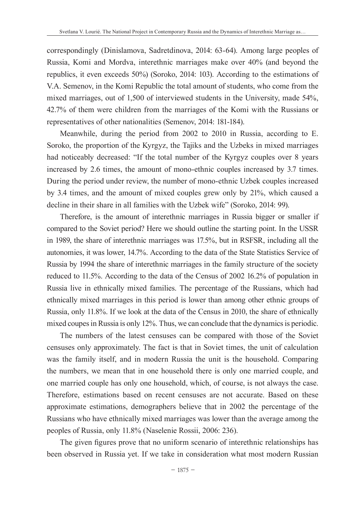correspondingly (Dinislamova, Sadretdinova, 2014: 63-64). Among large peoples of Russia, Komi and Mordva, interethnic marriages make over 40% (and beyond the republics, it even exceeds 50%) (Soroko, 2014: 103). According to the estimations of V.A. Semenov, in the Komi Republic the total amount of students, who come from the mixed marriages, out of 1,500 of interviewed students in the University, made 54%, 42.7% of them were children from the marriages of the Komi with the Russians or representatives of other nationalities (Semenov, 2014: 181-184).

Meanwhile, during the period from 2002 to 2010 in Russia, according to E. Soroko, the proportion of the Kyrgyz, the Tajiks and the Uzbeks in mixed marriages had noticeably decreased: "If the total number of the Kyrgyz couples over 8 years increased by 2.6 times, the amount of mono-ethnic couples increased by 3.7 times. During the period under review, the number of mono-ethnic Uzbek couples increased by 3.4 times, and the amount of mixed couples grew only by 21%, which caused a decline in their share in all families with the Uzbek wife" (Soroko, 2014: 99).

Therefore, is the amount of interethnic marriages in Russia bigger or smaller if compared to the Soviet period? Here we should outline the starting point. In the USSR in 1989, the share of interethnic marriages was 17.5%, but in RSFSR, including all the autonomies, it was lower, 14.7%. According to the data of the State Statistics Service of Russia by 1994 the share of interethnic marriages in the family structure of the society reduced to 11.5%. According to the data of the Census of 2002 16.2% of population in Russia live in ethnically mixed families. The percentage of the Russians, which had ethnically mixed marriages in this period is lower than among other ethnic groups of Russia, only 11.8%. If we look at the data of the Census in 2010, the share of ethnically mixed coupes in Russia is only 12%. Thus, we can conclude that the dynamics is periodic.

The numbers of the latest censuses can be compared with those of the Soviet censuses only approximately. The fact is that in Soviet times, the unit of calculation was the family itself, and in modern Russia the unit is the household. Comparing the numbers, we mean that in one household there is only one married couple, and one married couple has only one household, which, of course, is not always the case. Therefore, estimations based on recent censuses are not accurate. Based on these approximate estimations, demographers believe that in 2002 the percentage of the Russians who have ethnically mixed marriages was lower than the average among the peoples of Russia, only 11.8% (Naselenie Rossii, 2006: 236).

The given figures prove that no uniform scenario of interethnic relationships has been observed in Russia yet. If we take in consideration what most modern Russian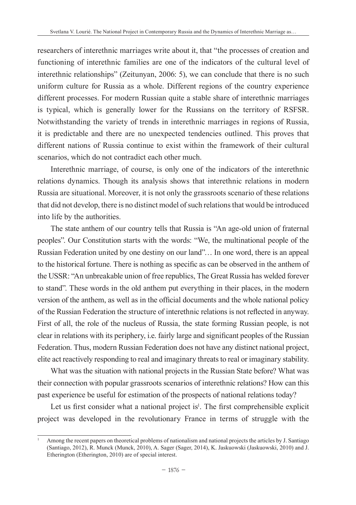researchers of interethnic marriages write about it, that "the processes of creation and functioning of interethnic families are one of the indicators of the cultural level of interethnic relationships" (Zeitunyan, 2006: 5), we can conclude that there is no such uniform culture for Russia as a whole. Different regions of the country experience different processes. For modern Russian quite a stable share of interethnic marriages is typical, which is generally lower for the Russians on the territory of RSFSR. Notwithstanding the variety of trends in interethnic marriages in regions of Russia, it is predictable and there are no unexpected tendencies outlined. This proves that different nations of Russia continue to exist within the framework of their cultural scenarios, which do not contradict each other much.

Interethnic marriage, of course, is only one of the indicators of the interethnic relations dynamics. Though its analysis shows that interethnic relations in modern Russia are situational. Moreover, it is not only the grassroots scenario of these relations that did not develop, there is no distinct model of such relations that would be introduced into life by the authorities.

The state anthem of our country tells that Russia is "An age-old union of fraternal peoples". Our Constitution starts with the words: "We, the multinational people of the Russian Federation united by one destiny on our land"… In one word, there is an appeal to the historical fortune. There is nothing as specific as can be observed in the anthem of the USSR: "An unbreakable union of free republics, The Great Russia has welded forever to stand". These words in the old anthem put everything in their places, in the modern version of the anthem, as well as in the official documents and the whole national policy of the Russian Federation the structure of interethnic relations is not reflected in anyway. First of all, the role of the nucleus of Russia, the state forming Russian people, is not clear in relations with its periphery, i.e. fairly large and significant peoples of the Russian Federation. Thus, modern Russian Federation does not have any distinct national project, elite act reactively responding to real and imaginary threats to real or imaginary stability.

What was the situation with national projects in the Russian State before? What was their connection with popular grassroots scenarios of interethnic relations? How can this past experience be useful for estimation of the prospects of national relations today?

Let us first consider what a national project is<sup>1</sup>. The first comprehensible explicit project was developed in the revolutionary France in terms of struggle with the

<sup>1</sup> Among the recent papers on theoretical problems of nationalism and national projects the articles by J. Santiago (Santiago, 2012), R. Munck (Munck, 2010), A. Sager (Sager, 2014), K. Jaskuowski (Jaskuowski, 2010) and J. Etherington (Etherington, 2010) are of special interest.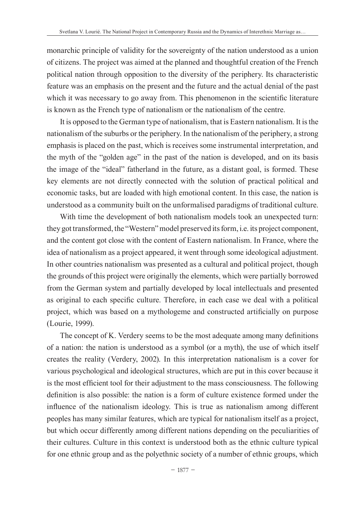monarchic principle of validity for the sovereignty of the nation understood as a union of citizens. The project was aimed at the planned and thoughtful creation of the French political nation through opposition to the diversity of the periphery. Its characteristic feature was an emphasis on the present and the future and the actual denial of the past which it was necessary to go away from. This phenomenon in the scientific literature is known as the French type of nationalism or the nationalism of the centre.

It is opposed to the German type of nationalism, that is Eastern nationalism. It is the nationalism of the suburbs or the periphery. In the nationalism of the periphery, a strong emphasis is placed on the past, which is receives some instrumental interpretation, and the myth of the "golden age" in the past of the nation is developed, and on its basis the image of the "ideal" fatherland in the future, as a distant goal, is formed. These key elements are not directly connected with the solution of practical political and economic tasks, but are loaded with high emotional content. In this case, the nation is understood as a community built on the unformalised paradigms of traditional culture.

With time the development of both nationalism models took an unexpected turn: they got transformed, the "Western" model preserved its form, i.e. its project component, and the content got close with the content of Eastern nationalism. In France, where the idea of nationalism as a project appeared, it went through some ideological adjustment. In other countries nationalism was presented as a cultural and political project, though the grounds of this project were originally the elements, which were partially borrowed from the German system and partially developed by local intellectuals and presented as original to each specific culture. Therefore, in each case we deal with a political project, which was based on a mythologeme and constructed artificially on purpose (Lourie, 1999).

The concept of K. Verdery seems to be the most adequate among many definitions of a nation: the nation is understood as a symbol (or a myth), the use of which itself creates the reality (Verdery, 2002). In this interpretation nationalism is a cover for various psychological and ideological structures, which are put in this cover because it is the most efficient tool for their adjustment to the mass consciousness. The following definition is also possible: the nation is a form of culture existence formed under the influence of the nationalism ideology. This is true as nationalism among different peoples has many similar features, which are typical for nationalism itself as a project, but which occur differently among different nations depending on the peculiarities of their cultures. Culture in this context is understood both as the ethnic culture typical for one ethnic group and as the polyethnic society of a number of ethnic groups, which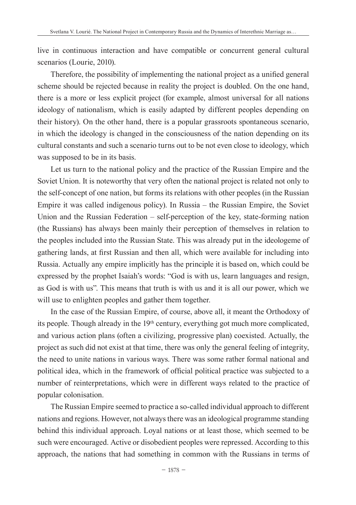live in continuous interaction and have compatible or concurrent general cultural scenarios (Lourie, 2010).

Therefore, the possibility of implementing the national project as a unified general scheme should be rejected because in reality the project is doubled. On the one hand, there is a more or less explicit project (for example, almost universal for all nations ideology of nationalism, which is easily adapted by different peoples depending on their history). On the other hand, there is a popular grassroots spontaneous scenario, in which the ideology is changed in the consciousness of the nation depending on its cultural constants and such a scenario turns out to be not even close to ideology, which was supposed to be in its basis.

Let us turn to the national policy and the practice of the Russian Empire and the Soviet Union. It is noteworthy that very often the national project is related not only to the self-concept of one nation, but forms its relations with other peoples (in the Russian Empire it was called indigenous policy). In Russia – the Russian Empire, the Soviet Union and the Russian Federation – self-perception of the key, state-forming nation (the Russians) has always been mainly their perception of themselves in relation to the peoples included into the Russian State. This was already put in the ideologeme of gathering lands, at first Russian and then all, which were available for including into Russia. Actually any empire implicitly has the principle it is based on, which could be expressed by the prophet Isaiah's words: "God is with us, learn languages and resign, as God is with us". This means that truth is with us and it is all our power, which we will use to enlighten peoples and gather them together.

In the case of the Russian Empire, of course, above all, it meant the Orthodoxy of its people. Though already in the 19th century, everything got much more complicated, and various action plans (often a civilizing, progressive plan) coexisted. Actually, the project as such did not exist at that time, there was only the general feeling of integrity, the need to unite nations in various ways. There was some rather formal national and political idea, which in the framework of official political practice was subjected to a number of reinterpretations, which were in different ways related to the practice of popular colonisation.

The Russian Empire seemed to practice a so-called individual approach to different nations and regions. However, not always there was an ideological programme standing behind this individual approach. Loyal nations or at least those, which seemed to be such were encouraged. Active or disobedient peoples were repressed. According to this approach, the nations that had something in common with the Russians in terms of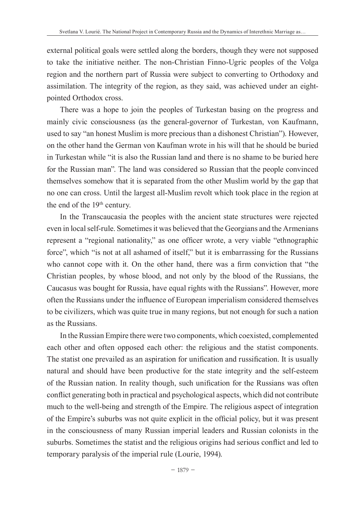external political goals were settled along the borders, though they were not supposed to take the initiative neither. The non-Christian Finno-Ugric peoples of the Volga region and the northern part of Russia were subject to converting to Orthodoxy and assimilation. The integrity of the region, as they said, was achieved under an eightpointed Orthodox cross.

There was a hope to join the peoples of Turkestan basing on the progress and mainly civic consciousness (as the general-governor of Turkestan, von Kaufmann, used to say "an honest Muslim is more precious than a dishonest Christian"). However, on the other hand the German von Kaufman wrote in his will that he should be buried in Turkestan while "it is also the Russian land and there is no shame to be buried here for the Russian man". The land was considered so Russian that the people convinced themselves somehow that it is separated from the other Muslim world by the gap that no one can cross. Until the largest all-Muslim revolt which took place in the region at the end of the 19<sup>th</sup> century.

In the Transcaucasia the peoples with the ancient state structures were rejected even in local self-rule. Sometimes it was believed that the Georgians and the Armenians represent a "regional nationality," as one officer wrote, a very viable "ethnographic force", which "is not at all ashamed of itself," but it is embarrassing for the Russians who cannot cope with it. On the other hand, there was a firm conviction that "the Christian peoples, by whose blood, and not only by the blood of the Russians, the Caucasus was bought for Russia, have equal rights with the Russians". However, more often the Russians under the influence of European imperialism considered themselves to be civilizers, which was quite true in many regions, but not enough for such a nation as the Russians.

In the Russian Empire there were two components, which coexisted, complemented each other and often opposed each other: the religious and the statist components. The statist one prevailed as an aspiration for unification and russification. It is usually natural and should have been productive for the state integrity and the self-esteem of the Russian nation. In reality though, such unification for the Russians was often conflict generating both in practical and psychological aspects, which did not contribute much to the well-being and strength of the Empire. The religious aspect of integration of the Empire's suburbs was not quite explicit in the official policy, but it was present in the consciousness of many Russian imperial leaders and Russian colonists in the suburbs. Sometimes the statist and the religious origins had serious conflict and led to temporary paralysis of the imperial rule (Lourie, 1994).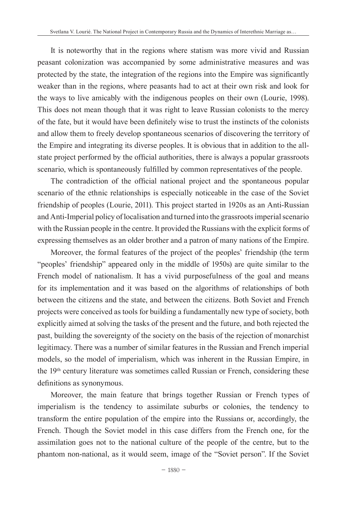It is noteworthy that in the regions where statism was more vivid and Russian peasant colonization was accompanied by some administrative measures and was protected by the state, the integration of the regions into the Empire was significantly weaker than in the regions, where peasants had to act at their own risk and look for the ways to live amicably with the indigenous peoples on their own (Lourie, 1998). This does not mean though that it was right to leave Russian colonists to the mercy of the fate, but it would have been definitely wise to trust the instincts of the colonists and allow them to freely develop spontaneous scenarios of discovering the territory of the Empire and integrating its diverse peoples. It is obvious that in addition to the allstate project performed by the official authorities, there is always a popular grassroots scenario, which is spontaneously fulfilled by common representatives of the people.

The contradiction of the official national project and the spontaneous popular scenario of the ethnic relationships is especially noticeable in the case of the Soviet friendship of peoples (Lourie, 2011). This project started in 1920s as an Anti-Russian and Anti-Imperial policy of localisation and turned into the grassroots imperial scenario with the Russian people in the centre. It provided the Russians with the explicit forms of expressing themselves as an older brother and a patron of many nations of the Empire.

Moreover, the formal features of the project of the peoples' friendship (the term "peoples' friendship" appeared only in the middle of 1950s) are quite similar to the French model of nationalism. It has a vivid purposefulness of the goal and means for its implementation and it was based on the algorithms of relationships of both between the citizens and the state, and between the citizens. Both Soviet and French projects were conceived as tools for building a fundamentally new type of society, both explicitly aimed at solving the tasks of the present and the future, and both rejected the past, building the sovereignty of the society on the basis of the rejection of monarchist legitimacy. There was a number of similar features in the Russian and French imperial models, so the model of imperialism, which was inherent in the Russian Empire, in the 19th century literature was sometimes called Russian or French, considering these definitions as synonymous.

Moreover, the main feature that brings together Russian or French types of imperialism is the tendency to assimilate suburbs or colonies, the tendency to transform the entire population of the empire into the Russians or, accordingly, the French. Though the Soviet model in this case differs from the French one, for the assimilation goes not to the national culture of the people of the centre, but to the phantom non-national, as it would seem, image of the "Soviet person". If the Soviet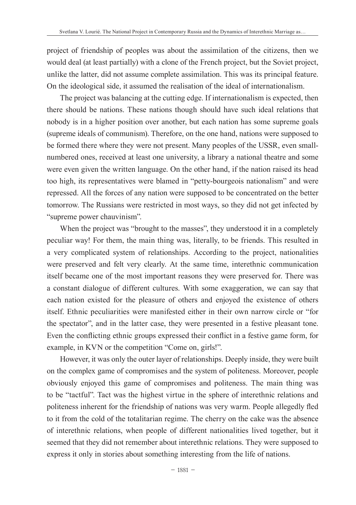project of friendship of peoples was about the assimilation of the citizens, then we would deal (at least partially) with a clone of the French project, but the Soviet project, unlike the latter, did not assume complete assimilation. This was its principal feature. On the ideological side, it assumed the realisation of the ideal of internationalism.

The project was balancing at the cutting edge. If internationalism is expected, then there should be nations. These nations though should have such ideal relations that nobody is in a higher position over another, but each nation has some supreme goals (supreme ideals of communism). Therefore, on the one hand, nations were supposed to be formed there where they were not present. Many peoples of the USSR, even smallnumbered ones, received at least one university, a library a national theatre and some were even given the written language. On the other hand, if the nation raised its head too high, its representatives were blamed in "petty-bourgeois nationalism" and were repressed. All the forces of any nation were supposed to be concentrated on the better tomorrow. The Russians were restricted in most ways, so they did not get infected by "supreme power chauvinism".

When the project was "brought to the masses", they understood it in a completely peculiar way! For them, the main thing was, literally, to be friends. This resulted in a very complicated system of relationships. According to the project, nationalities were preserved and felt very clearly. At the same time, interethnic communication itself became one of the most important reasons they were preserved for. There was a constant dialogue of different cultures. With some exaggeration, we can say that each nation existed for the pleasure of others and enjoyed the existence of others itself. Ethnic peculiarities were manifested either in their own narrow circle or "for the spectator", and in the latter case, they were presented in a festive pleasant tone. Even the conflicting ethnic groups expressed their conflict in a festive game form, for example, in KVN or the competition "Come on, girls!".

However, it was only the outer layer of relationships. Deeply inside, they were built on the complex game of compromises and the system of politeness. Moreover, people obviously enjoyed this game of compromises and politeness. The main thing was to be "tactful". Tact was the highest virtue in the sphere of interethnic relations and politeness inherent for the friendship of nations was very warm. People allegedly fled to it from the cold of the totalitarian regime. The cherry on the cake was the absence of interethnic relations, when people of different nationalities lived together, but it seemed that they did not remember about interethnic relations. They were supposed to express it only in stories about something interesting from the life of nations.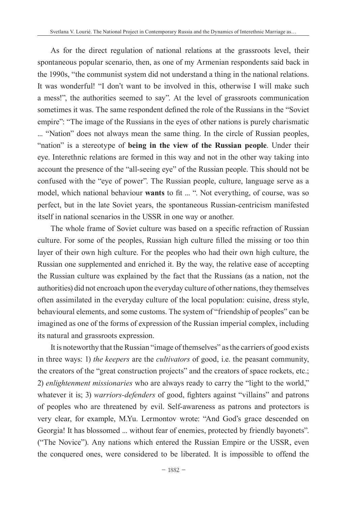As for the direct regulation of national relations at the grassroots level, their spontaneous popular scenario, then, as one of my Armenian respondents said back in the 1990s, "the communist system did not understand a thing in the national relations. It was wonderful! "I don't want to be involved in this, otherwise I will make such a mess!", the authorities seemed to say". At the level of grassroots communication sometimes it was. The same respondent defined the role of the Russians in the "Soviet empire": "The image of the Russians in the eyes of other nations is purely charismatic ... "Nation" does not always mean the same thing. In the circle of Russian peoples, "nation" is a stereotype of **being in the view of the Russian people**. Under their eye. Interethnic relations are formed in this way and not in the other way taking into account the presence of the "all-seeing eye" of the Russian people. This should not be confused with the "eye of power". The Russian people, culture, language serve as a model, which national behaviour **wants** to fit ... ". Not everything, of course, was so perfect, but in the late Soviet years, the spontaneous Russian-centricism manifested itself in national scenarios in the USSR in one way or another.

The whole frame of Soviet culture was based on a specific refraction of Russian culture. For some of the peoples, Russian high culture filled the missing or too thin layer of their own high culture. For the peoples who had their own high culture, the Russian one supplemented and enriched it. By the way, the relative ease of accepting the Russian culture was explained by the fact that the Russians (as a nation, not the authorities) did not encroach upon the everyday culture of other nations, they themselves often assimilated in the everyday culture of the local population: cuisine, dress style, behavioural elements, and some customs. The system of "friendship of peoples" can be imagined as one of the forms of expression of the Russian imperial complex, including its natural and grassroots expression.

It is noteworthy that the Russian "image of themselves" as the carriers of good exists in three ways: 1) *the keepers* are the *cultivators* of good, i.e. the peasant community, the creators of the "great construction projects" and the creators of space rockets, etc.; 2) *enlightenment missionaries* who are always ready to carry the "light to the world," whatever it is; 3) *warriors-defenders* of good, fighters against "villains" and patrons of peoples who are threatened by evil. Self-awareness as patrons and protectors is very clear, for example, M.Yu. Lermontov wrote: "And God's grace descended on Georgia! It has blossomed ... without fear of enemies, protected by friendly bayonets". ("The Novice"). Any nations which entered the Russian Empire or the USSR, even the conquered ones, were considered to be liberated. It is impossible to offend the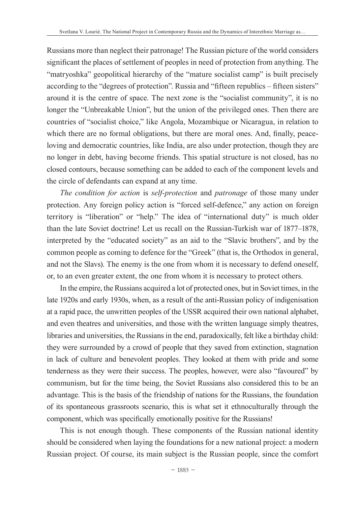Russians more than neglect their patronage! The Russian picture of the world considers significant the places of settlement of peoples in need of protection from anything. The "matryoshka" geopolitical hierarchy of the "mature socialist camp" is built precisely according to the "degrees of protection". Russia and "fifteen republics – fifteen sisters" around it is the centre of space. The next zone is the "socialist community", it is no longer the "Unbreakable Union", but the union of the privileged ones. Then there are countries of "socialist choice," like Angola, Mozambique or Nicaragua, in relation to which there are no formal obligations, but there are moral ones. And, finally, peaceloving and democratic countries, like India, are also under protection, though they are no longer in debt, having become friends. This spatial structure is not closed, has no closed contours, because something can be added to each of the component levels and the circle of defendants can expand at any time.

*The condition for action* is *self-protection* and *patronage* of those many under protection. Any foreign policy action is "forced self-defence," any action on foreign territory is "liberation" or "help." The idea of "international duty" is much older than the late Soviet doctrine! Let us recall on the Russian-Turkish war of 1877–1878, interpreted by the "educated society" as an aid to the "Slavic brothers", and by the common people as coming to defence for the "Greek" (that is, the Orthodox in general, and not the Slavs). The enemy is the one from whom it is necessary to defend oneself, or, to an even greater extent, the one from whom it is necessary to protect others.

In the empire, the Russians acquired a lot of protected ones, but in Soviet times, in the late 1920s and early 1930s, when, as a result of the anti-Russian policy of indigenisation at a rapid pace, the unwritten peoples of the USSR acquired their own national alphabet, and even theatres and universities, and those with the written language simply theatres, libraries and universities, the Russians in the end, paradoxically, felt like a birthday child: they were surrounded by a crowd of people that they saved from extinction, stagnation in lack of culture and benevolent peoples. They looked at them with pride and some tenderness as they were their success. The peoples, however, were also "favoured" by communism, but for the time being, the Soviet Russians also considered this to be an advantage. This is the basis of the friendship of nations for the Russians, the foundation of its spontaneous grassroots scenario, this is what set it ethnoculturally through the component, which was specifically emotionally positive for the Russians!

This is not enough though. These components of the Russian national identity should be considered when laying the foundations for a new national project: a modern Russian project. Of course, its main subject is the Russian people, since the comfort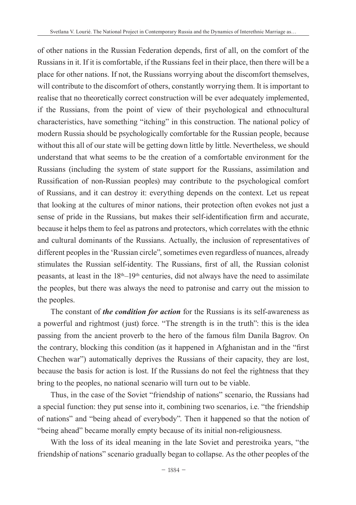of other nations in the Russian Federation depends, first of all, on the comfort of the Russians in it. If it is comfortable, if the Russians feel in their place, then there will be a place for other nations. If not, the Russians worrying about the discomfort themselves, will contribute to the discomfort of others, constantly worrying them. It is important to realise that no theoretically correct construction will be ever adequately implemented, if the Russians, from the point of view of their psychological and ethnocultural characteristics, have something "itching" in this construction. The national policy of modern Russia should be psychologically comfortable for the Russian people, because without this all of our state will be getting down little by little. Nevertheless, we should understand that what seems to be the creation of a comfortable environment for the Russians (including the system of state support for the Russians, assimilation and Russification of non-Russian peoples) may contribute to the psychological comfort of Russians, and it can destroy it: everything depends on the context. Let us repeat that looking at the cultures of minor nations, their protection often evokes not just a sense of pride in the Russians, but makes their self-identification firm and accurate, because it helps them to feel as patrons and protectors, which correlates with the ethnic and cultural dominants of the Russians. Actually, the inclusion of representatives of different peoples in the 'Russian circle", sometimes even regardless of nuances, already stimulates the Russian self-identity. The Russians, first of all, the Russian colonist peasants, at least in the 18th–19th centuries, did not always have the need to assimilate the peoples, but there was always the need to patronise and carry out the mission to the peoples.

The constant of *the condition for action* for the Russians is its self-awareness as a powerful and rightmost (just) force. "The strength is in the truth": this is the idea passing from the ancient proverb to the hero of the famous film Danila Bagrov. On the contrary, blocking this condition (as it happened in Afghanistan and in the "first Chechen war") automatically deprives the Russians of their capacity, they are lost, because the basis for action is lost. If the Russians do not feel the rightness that they bring to the peoples, no national scenario will turn out to be viable.

Thus, in the case of the Soviet "friendship of nations" scenario, the Russians had a special function: they put sense into it, combining two scenarios, i.e. "the friendship of nations" and "being ahead of everybody". Then it happened so that the notion of "being ahead" became morally empty because of its initial non-religiousness.

With the loss of its ideal meaning in the late Soviet and perestroika years, "the friendship of nations" scenario gradually began to collapse. As the other peoples of the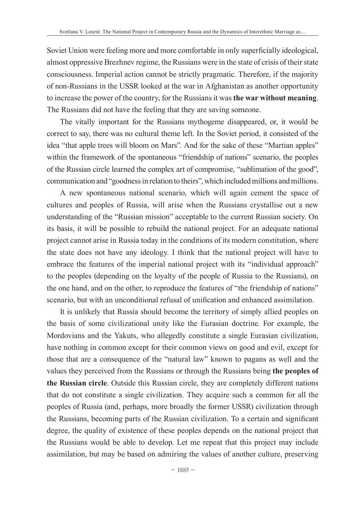Soviet Union were feeling more and more comfortable in only superficially ideological, almost oppressive Brezhnev regime, the Russians were in the state of crisis of their state consciousness. Imperial action cannot be strictly pragmatic. Therefore, if the majority of non-Russians in the USSR looked at the war in Afghanistan as another opportunity to increase the power of the country, for the Russians it was **the war without meaning**. The Russians did not have the feeling that they are saving someone.

The vitally important for the Russians mythogeme disappeared, or, it would be correct to say, there was no cultural theme left. In the Soviet period, it consisted of the idea "that apple trees will bloom on Mars". And for the sake of these "Martian apples" within the framework of the spontaneous "friendship of nations" scenario, the peoples of the Russian circle learned the complex art of compromise, "sublimation of the good", communication and "goodness in relation to theirs", which included millions and millions.

A new spontaneous national scenario, which will again cement the space of cultures and peoples of Russia, will arise when the Russians crystallise out a new understanding of the "Russian mission" acceptable to the current Russian society. On its basis, it will be possible to rebuild the national project. For an adequate national project cannot arise in Russia today in the conditions of its modern constitution, where the state does not have any ideology. I think that the national project will have to embrace the features of the imperial national project with its "individual approach" to the peoples (depending on the loyalty of the people of Russia to the Russians), on the one hand, and on the other, to reproduce the features of "the friendship of nations" scenario, but with an unconditional refusal of unification and enhanced assimilation.

It is unlikely that Russia should become the territory of simply allied peoples on the basis of some civilizational unity like the Eurasian doctrine. For example, the Mordovians and the Yakuts, who allegedly constitute a single Eurasian civilization, have nothing in common except for their common views on good and evil, except for those that are a consequence of the "natural law" known to pagans as well and the values they perceived from the Russians or through the Russians being **the peoples of the Russian circle**. Outside this Russian circle, they are completely different nations that do not constitute a single civilization. They acquire such a common for all the peoples of Russia (and, perhaps, more broadly the former USSR) civilization through the Russians, becoming parts of the Russian civilization. To a certain and significant degree, the quality of existence of these peoples depends on the national project that the Russians would be able to develop. Let me repeat that this project may include assimilation, but may be based on admiring the values of another culture, preserving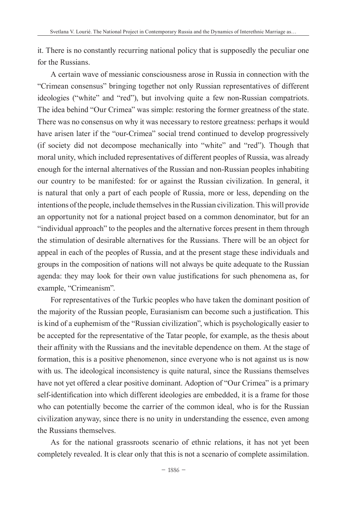it. There is no constantly recurring national policy that is supposedly the peculiar one for the Russians.

A certain wave of messianic consciousness arose in Russia in connection with the "Crimean consensus" bringing together not only Russian representatives of different ideologies ("white" and "red"), but involving quite a few non-Russian compatriots. The idea behind "Our Crimea" was simple: restoring the former greatness of the state. There was no consensus on why it was necessary to restore greatness: perhaps it would have arisen later if the "our-Crimea" social trend continued to develop progressively (if society did not decompose mechanically into "white" and "red"). Though that moral unity, which included representatives of different peoples of Russia, was already enough for the internal alternatives of the Russian and non-Russian peoples inhabiting our country to be manifested: for or against the Russian civilization. In general, it is natural that only a part of each people of Russia, more or less, depending on the intentions of the people, include themselves in the Russian civilization. This will provide an opportunity not for a national project based on a common denominator, but for an "individual approach" to the peoples and the alternative forces present in them through the stimulation of desirable alternatives for the Russians. There will be an object for appeal in each of the peoples of Russia, and at the present stage these individuals and groups in the composition of nations will not always be quite adequate to the Russian agenda: they may look for their own value justifications for such phenomena as, for example, "Crimeanism".

For representatives of the Turkic peoples who have taken the dominant position of the majority of the Russian people, Eurasianism can become such a justification. This is kind of a euphemism of the "Russian civilization", which is psychologically easier to be accepted for the representative of the Tatar people, for example, as the thesis about their affinity with the Russians and the inevitable dependence on them. At the stage of formation, this is a positive phenomenon, since everyone who is not against us is now with us. The ideological inconsistency is quite natural, since the Russians themselves have not yet offered a clear positive dominant. Adoption of "Our Crimea" is a primary self-identification into which different ideologies are embedded, it is a frame for those who can potentially become the carrier of the common ideal, who is for the Russian civilization anyway, since there is no unity in understanding the essence, even among the Russians themselves.

As for the national grassroots scenario of ethnic relations, it has not yet been completely revealed. It is clear only that this is not a scenario of complete assimilation.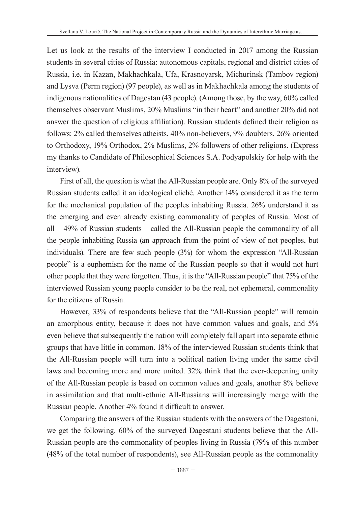Let us look at the results of the interview I conducted in 2017 among the Russian students in several cities of Russia: autonomous capitals, regional and district cities of Russia, i.e. in Kazan, Makhachkala, Ufa, Krasnoyarsk, Michurinsk (Tambov region) and Lysva (Perm region) (97 people), as well as in Makhachkala among the students of indigenous nationalities of Dagestan (43 people). (Among those, by the way, 60% called themselves observant Muslims, 20% Muslims "in their heart" and another 20% did not answer the question of religious affiliation). Russian students defined their religion as follows: 2% called themselves atheists, 40% non-believers, 9% doubters, 26% oriented to Orthodoxy, 19% Orthodox, 2% Muslims, 2% followers of other religions. (Express my thanks to Candidate of Philosophical Sciences S.А. Podyapolskiy for help with the interview).

First of all, the question is what the All-Russian people are. Only 8% of the surveyed Russian students called it an ideological cliché. Another 14% considered it as the term for the mechanical population of the peoples inhabiting Russia. 26% understand it as the emerging and even already existing commonality of peoples of Russia. Most of all – 49% of Russian students – called the All-Russian people the commonality of all the people inhabiting Russia (an approach from the point of view of not peoples, but individuals). There are few such people (3%) for whom the expression "All-Russian people" is a euphemism for the name of the Russian people so that it would not hurt other people that they were forgotten. Thus, it is the "All-Russian people" that 75% of the interviewed Russian young people consider to be the real, not ephemeral, commonality for the citizens of Russia.

However, 33% of respondents believe that the "All-Russian people" will remain an amorphous entity, because it does not have common values and goals, and 5% even believe that subsequently the nation will completely fall apart into separate ethnic groups that have little in common. 18% of the interviewed Russian students think that the All-Russian people will turn into a political nation living under the same civil laws and becoming more and more united. 32% think that the ever-deepening unity of the All-Russian people is based on common values and goals, another 8% believe in assimilation and that multi-ethnic All-Russians will increasingly merge with the Russian people. Another 4% found it difficult to answer.

Comparing the answers of the Russian students with the answers of the Dagestani, we get the following. 60% of the surveyed Dagestani students believe that the All-Russian people are the commonality of peoples living in Russia (79% of this number (48% of the total number of respondents), see All-Russian people as the commonality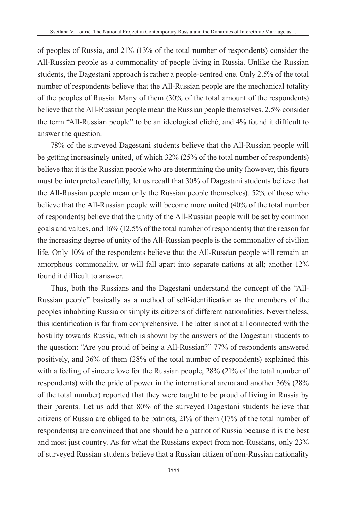of peoples of Russia, and 21% (13% of the total number of respondents) consider the All-Russian people as a commonality of people living in Russia. Unlike the Russian students, the Dagestani approach is rather a people-centred one. Only 2.5% of the total number of respondents believe that the All-Russian people are the mechanical totality of the peoples of Russia. Many of them (30% of the total amount of the respondents) believe that the All-Russian people mean the Russian people themselves. 2.5% consider the term "All-Russian people" to be an ideological cliché, and 4% found it difficult to answer the question.

78% of the surveyed Dagestani students believe that the All-Russian people will be getting increasingly united, of which 32% (25% of the total number of respondents) believe that it is the Russian people who are determining the unity (however, this figure must be interpreted carefully, let us recall that 30% of Dagestani students believe that the All-Russian people mean only the Russian people themselves). 52% of those who believe that the All-Russian people will become more united (40% of the total number of respondents) believe that the unity of the All-Russian people will be set by common goals and values, and 16% (12.5% of the total number of respondents) that the reason for the increasing degree of unity of the All-Russian people is the commonality of civilian life. Only 10% of the respondents believe that the All-Russian people will remain an amorphous commonality, or will fall apart into separate nations at all; another 12% found it difficult to answer.

Thus, both the Russians and the Dagestani understand the concept of the "All-Russian people" basically as a method of self-identification as the members of the peoples inhabiting Russia or simply its citizens of different nationalities. Nevertheless, this identification is far from comprehensive. The latter is not at all connected with the hostility towards Russia, which is shown by the answers of the Dagestani students to the question: "Are you proud of being a All-Russian?" 77% of respondents answered positively, and 36% of them (28% of the total number of respondents) explained this with a feeling of sincere love for the Russian people, 28% (21% of the total number of respondents) with the pride of power in the international arena and another 36% (28% of the total number) reported that they were taught to be proud of living in Russia by their parents. Let us add that 80% of the surveyed Dagestani students believe that citizens of Russia are obliged to be patriots, 21% of them (17% of the total number of respondents) are convinced that one should be a patriot of Russia because it is the best and most just country. As for what the Russians expect from non-Russians, only 23% of surveyed Russian students believe that a Russian citizen of non-Russian nationality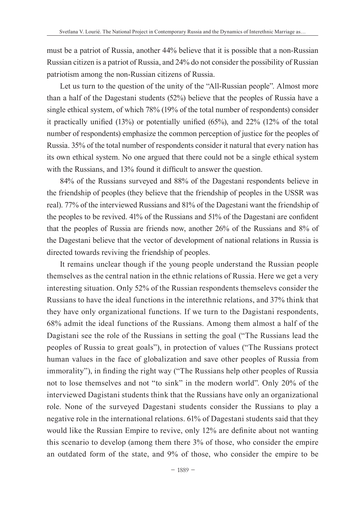must be a patriot of Russia, another 44% believe that it is possible that a non-Russian Russian citizen is a patriot of Russia, and 24% do not consider the possibility of Russian patriotism among the non-Russian citizens of Russia.

Let us turn to the question of the unity of the "All-Russian people". Almost more than a half of the Dagestani students (52%) believe that the peoples of Russia have a single ethical system, of which 78% (19% of the total number of respondents) consider it practically unified (13%) or potentially unified (65%), and 22% (12% of the total number of respondents) emphasize the common perception of justice for the peoples of Russia. 35% of the total number of respondents consider it natural that every nation has its own ethical system. No one argued that there could not be a single ethical system with the Russians, and 13% found it difficult to answer the question.

84% of the Russians surveyed and 88% of the Dagestani respondents believe in the friendship of peoples (they believe that the friendship of peoples in the USSR was real). 77% of the interviewed Russians and 81% of the Dagestani want the friendship of the peoples to be revived. 41% of the Russians and 51% of the Dagestani are confident that the peoples of Russia are friends now, another 26% of the Russians and 8% of the Dagestani believe that the vector of development of national relations in Russia is directed towards reviving the friendship of peoples.

It remains unclear though if the young people understand the Russian people themselves as the central nation in the ethnic relations of Russia. Here we get a very interesting situation. Only 52% of the Russian respondents themselevs consider the Russians to have the ideal functions in the interethnic relations, and 37% think that they have only organizational functions. If we turn to the Dagistani respondents, 68% admit the ideal functions of the Russians. Among them almost a half of the Dagistani see the role of the Russians in setting the goal ("The Russians lead the peoples of Russia to great goals"), in protection of values ("The Russians protect human values in the face of globalization and save other peoples of Russia from immorality"), in finding the right way ("The Russians help other peoples of Russia not to lose themselves and not "to sink" in the modern world". Only 20% of the interviewed Dagistani students think that the Russians have only an organizational role. None of the surveyed Dagestani students consider the Russians to play a negative role in the international relations. 61% of Dagestani students said that they would like the Russian Empire to revive, only 12% are definite about not wanting this scenario to develop (among them there 3% of those, who consider the empire an outdated form of the state, and 9% of those, who consider the empire to be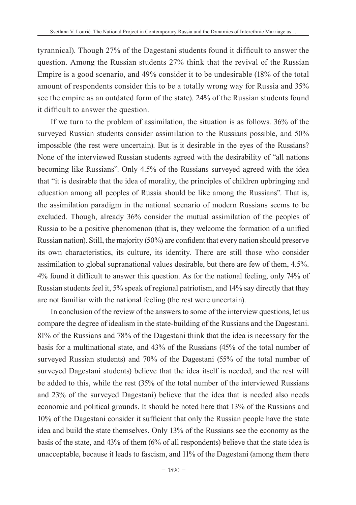tyrannical). Though 27% of the Dagestani students found it difficult to answer the question. Among the Russian students 27% think that the revival of the Russian Empire is a good scenario, and 49% consider it to be undesirable (18% of the total amount of respondents consider this to be a totally wrong way for Russia and 35% see the empire as an outdated form of the state). 24% of the Russian students found it difficult to answer the question.

If we turn to the problem of assimilation, the situation is as follows. 36% of the surveyed Russian students consider assimilation to the Russians possible, and 50% impossible (the rest were uncertain). But is it desirable in the eyes of the Russians? None of the interviewed Russian students agreed with the desirability of "all nations becoming like Russians". Only 4.5% of the Russians surveyed agreed with the idea that "it is desirable that the idea of morality, the principles of children upbringing and education among all peoples of Russia should be like among the Russians". That is, the assimilation paradigm in the national scenario of modern Russians seems to be excluded. Though, already 36% consider the mutual assimilation of the peoples of Russia to be a positive phenomenon (that is, they welcome the formation of a unified Russian nation). Still, the majority (50%) are confident that every nation should preserve its own characteristics, its culture, its identity. There are still those who consider assimilation to global supranational values desirable, but there are few of them, 4.5%. 4% found it difficult to answer this question. As for the national feeling, only 74% of Russian students feel it, 5% speak of regional patriotism, and 14% say directly that they are not familiar with the national feeling (the rest were uncertain).

In conclusion of the review of the answers to some of the interview questions, let us compare the degree of idealism in the state-building of the Russians and the Dagestani. 81% of the Russians and 78% of the Dagestani think that the idea is necessary for the basis for a multinational state, and 43% of the Russians (45% of the total number of surveyed Russian students) and 70% of the Dagestani (55% of the total number of surveyed Dagestani students) believe that the idea itself is needed, and the rest will be added to this, while the rest (35% of the total number of the interviewed Russians and 23% of the surveyed Dagestani) believe that the idea that is needed also needs economic and political grounds. It should be noted here that 13% of the Russians and 10% of the Dagestani consider it sufficient that only the Russian people have the state idea and build the state themselves. Only 13% of the Russians see the economy as the basis of the state, and 43% of them (6% of all respondents) believe that the state idea is unacceptable, because it leads to fascism, and 11% of the Dagestani (among them there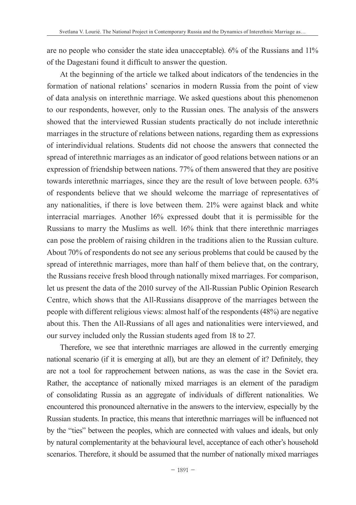are no people who consider the state idea unacceptable). 6% of the Russians and 11% of the Dagestani found it difficult to answer the question.

At the beginning of the article we talked about indicators of the tendencies in the formation of national relations' scenarios in modern Russia from the point of view of data analysis on interethnic marriage. We asked questions about this phenomenon to our respondents, however, only to the Russian ones. The analysis of the answers showed that the interviewed Russian students practically do not include interethnic marriages in the structure of relations between nations, regarding them as expressions of interindividual relations. Students did not choose the answers that connected the spread of interethnic marriages as an indicator of good relations between nations or an expression of friendship between nations. 77% of them answered that they are positive towards interethnic marriages, since they are the result of love between people. 63% of respondents believe that we should welcome the marriage of representatives of any nationalities, if there is love between them. 21% were against black and white interracial marriages. Another 16% expressed doubt that it is permissible for the Russians to marry the Muslims as well. 16% think that there interethnic marriages can pose the problem of raising children in the traditions alien to the Russian culture. About 70% of respondents do not see any serious problems that could be caused by the spread of interethnic marriages, more than half of them believe that, on the contrary, the Russians receive fresh blood through nationally mixed marriages. For comparison, let us present the data of the 2010 survey of the All-Russian Public Opinion Research Centre, which shows that the All-Russians disapprove of the marriages between the people with different religious views: almost half of the respondents (48%) are negative about this. Then the All-Russians of all ages and nationalities were interviewed, and our survey included only the Russian students aged from 18 to 27.

Therefore, we see that interethnic marriages are allowed in the currently emerging national scenario (if it is emerging at all), but are they an element of it? Definitely, they are not a tool for rapprochement between nations, as was the case in the Soviet era. Rather, the acceptance of nationally mixed marriages is an element of the paradigm of consolidating Russia as an aggregate of individuals of different nationalities. We encountered this pronounced alternative in the answers to the interview, especially by the Russian students. In practice, this means that interethnic marriages will be influenced not by the "ties" between the peoples, which are connected with values and ideals, but only by natural complementarity at the behavioural level, acceptance of each other's household scenarios. Therefore, it should be assumed that the number of nationally mixed marriages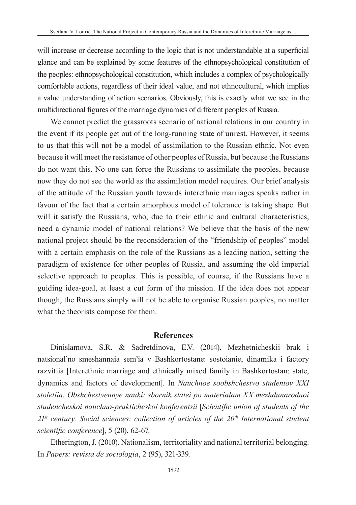will increase or decrease according to the logic that is not understandable at a superficial glance and can be explained by some features of the ethnopsychological constitution of the peoples: ethnopsychological constitution, which includes a complex of psychologically comfortable actions, regardless of their ideal value, and not ethnocultural, which implies a value understanding of action scenarios. Obviously, this is exactly what we see in the multidirectional figures of the marriage dynamics of different peoples of Russia.

We cannot predict the grassroots scenario of national relations in our country in the event if its people get out of the long-running state of unrest. However, it seems to us that this will not be a model of assimilation to the Russian ethnic. Not even because it will meet the resistance of other peoples of Russia, but because the Russians do not want this. No one can force the Russians to assimilate the peoples, because now they do not see the world as the assimilation model requires. Our brief analysis of the attitude of the Russian youth towards interethnic marriages speaks rather in favour of the fact that a certain amorphous model of tolerance is taking shape. But will it satisfy the Russians, who, due to their ethnic and cultural characteristics, need a dynamic model of national relations? We believe that the basis of the new national project should be the reconsideration of the "friendship of peoples" model with a certain emphasis on the role of the Russians as a leading nation, setting the paradigm of existence for other peoples of Russia, and assuming the old imperial selective approach to peoples. This is possible, of course, if the Russians have a guiding idea-goal, at least a cut form of the mission. If the idea does not appear though, the Russians simply will not be able to organise Russian peoples, no matter what the theorists compose for them.

#### **References**

Dinislamova, S.R. & Sadretdinova, E.V. (2014). Mezhetnicheskii brak i natsional'no smeshannaia sem'ia v Bashkortostane: sostoianie, dinamika i factory razvitiia [Interethnic marriage and ethnically mixed family in Bashkortostan: state, dynamics and factors of development]. In *Nauchnoe soobshchestvo studentov XXI stoletiia. Obshchestvennye nauki: sbornik statei po materialam XX mezhdunarodnoi studencheskoi nauchno-prakticheskoi konferentsii* [*Scientific union of students of the*  21st century. Social sciences: collection of articles of the 20<sup>th</sup> International student *scientific conference*], 5 (20), 62-67.

Etherington, J. (2010). Nationalism, territoriality and national territorial belonging. In *Papers: revista de sociologia*, 2 (95), 321-339.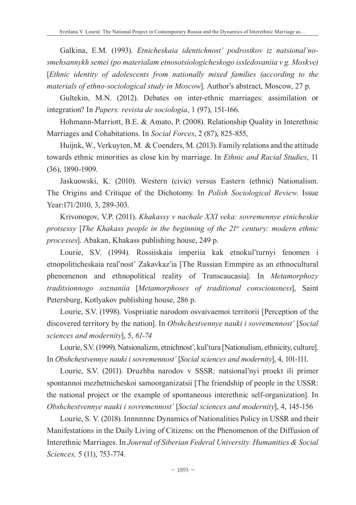Galkina, E.M. (1993). *Etnicheskaia identichnost' podrostkov iz natsional'nosmehsannykh semei (po materialam etnosotsiologicheskogo issledovaniia v g. Moskve)*  [*Ethnic identity of adolescents from nationally mixed families (according to the materials of ethno-sociological study in Moscow*]. Author's abstract, Moscow, 27 p.

Gultekin, M.N. (2012). Debates on inter-ethnic marriages: assimilation or integration? In *Papers: revista de sociologia*, 1 (97), 151-166.

Hohmann-Marriott, B.E. & Amato, P. (2008). Relationship Quality in Interethnic Marriages and Cohabitations. In *Social Forces*, 2 (87), 825-855,

Huijnk, W., Verkuyten, M. & Coenders, M. (2013). Family relations and the attitude towards ethnic minorities as close kin by marriage. In *Ethnic and Racial Studies*, 11 (36), 1890-1909.

Jaskuowski, K. (2010). Western (civic) versus Eastern (ethnic) Nationalism. The Origins and Critique of the Dichotomy. In *Polish Sociological Review*. Issue Year:171/2010, 3, 289-303.

Krivonogov, V.P. (2011). *Khakassy v nachale XXI veka: sovremennye etnicheskie protsessy* [*The Khakass people in the beginning of the 21st century: modern ethnic processes*]. Abakan, Khakass publishing house, 249 p.

Lourie, S.V. (1994). Rossiiskaia imperiia kak etnokul'turnyi fenomen i etnopoliticheskaia real'nost' Zakavkaz'ia [The Russian Emmpire as an ethnocultural phenomenon and ethnopolitical reality of Transcaucasia]. In *Metamorphozy traditsionnogo soznaniia* [*Metamorphoses of traditional consciousness*], Saint Petersburg, Kotlyakov publishing house, 286 p.

Lourie, S.V. (1998). Vospriiatie narodom osvaivaemoi territorii [Perception of the discovered territory by the nation]. In *Obshchestvennye nauki i sovremennost'* [*Social sciences and modernity*], 5, *61-74*

Lourie, S.V. (1999). Natsionalizm, etnichnost', kul'tura [Nationalism, ethnicity, culture]. In *Obshchestvennye nauki i sovremennost'* [*Social sciences and modernity*], 4, 101-111.

Lourie, S.V. (2011). Druzhba narodov v SSSR: natsional'nyi proekt ili primer spontannoi mezhetnicheskoi samoorganizatsii [The friendship of people in the USSR: the national project or the example of spontaneous interethnic self-organization]. In *Obshchestvennye nauki i sovremennost'* [*Social sciences and modernity*], 4, 145-156

Lourie, S. V. (2018). Innnnnnc Dynamics of Nationalities Policy in USSR and their Manifestations in the Daily Living of Citizens: on the Phenomenon of the Diffusion of Interethnic Marriages. In *Journal of Siberian Federal University. Humanities & Social Sciences,* 5 (11), 753-774.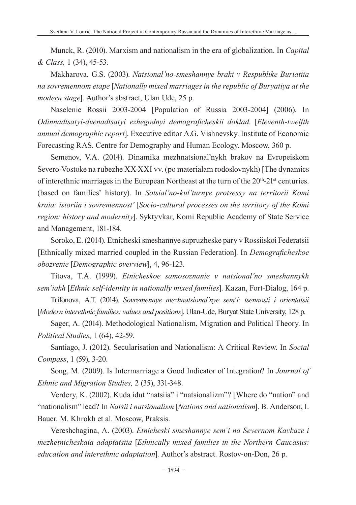Munck, R. (2010). Marxism and nationalism in the era of globalization. In *Capital & Class,* 1 (34), 45-53.

Makharova, G.S. (2003). *Natsional'no-smeshannye braki v Respublike Buriatiia na sovremennom etape* [*Nationally mixed marriages in the republic of Buryatiya at the modern stage*]. Author's abstract, Ulan Ude, 25 p.

Naselenie Rossii 2003-2004 [Population of Russia 2003-2004] (2006). In *Odinnadtsatyi-dvenadtsatyi ezhegodnyi demograficheskii doklad*. [*Eleventh-twelfth annual demographic report*]. Executive editor A.G. Vishnevsky. Institute of Economic Forecasting RAS. Centre for Demography and Human Ecology. Moscow, 360 p.

Semenov, V.A. (2014). Dinamika mezhnatsional'nykh brakov na Evropeiskom Severo-Vostoke na rubezhe XX-XXI vv. (po materialam rodoslovnykh) [The dynamics of interethnic marriages in the European Northeast at the turn of the 20<sup>th</sup>-21<sup>st</sup> centuries. (based on families' history). In *Sotsial'no-kul'turnye protsessy na territorii Komi kraia: istoriia i sovremennost'* [*Socio-cultural processes on the territory of the Komi region: history and modernity*]. Syktyvkar, Komi Republic Academy of State Service and Management, 181-184.

Soroko, E. (2014). Etnicheski smeshannye supruzheske pary v Rossiiskoi Federatsii [Ethnically mixed married coupled in the Russian Federation]. In *Demograficheskoe obozrenie* [*Demographic overview*], 4, 96-123.

Titova, T.A. (1999). *Etnicheskoe samosoznanie v natsional'no smeshannykh sem'iakh* [*Ethnic self-identity in nationally mixed families*]. Kazan, Fort-Dialog, 164 p.

Trifonova, A.T. (2014). *Sovremennye mezhnatsional'nye sem'i: tsennosti i orientatsii* [*Modern interethnic families: values and positions*]. Ulan-Ude, Buryat State University, 128 p.

Sager, A. (2014). Methodological Nationalism, Migration and Political Theory. In *Political Studies*, 1 (64), 42-59.

Santiago, J. (2012). Secularisation and Nationalism: A Critical Review. In *Social Compass*, 1 (59), 3-20.

Song, M. (2009). Is Intermarriage a Good Indicator of Integration? In *Journal of Ethnic and Migration Studies,* 2 (35), 331-348.

Verdery, K. (2002). Kuda idut "natsiia" i "natsionalizm"? [Where do "nation" and "nationalism" lead? In *Natsii i natsionalism* [*Nations and nationalism*]. B. Anderson, I. Bauer. M. Khrokh et al. Moscow, Praksis.

Vereshchagina, A. (2003). *Etnicheski smeshannye sem'i na Severnom Kavkaze i mezhetnicheskaia adaptatsiia* [*Ethnically mixed families in the Northern Caucasus: education and interethnic adaptation*]. Author's abstract. Rostov-on-Don, 26 p.